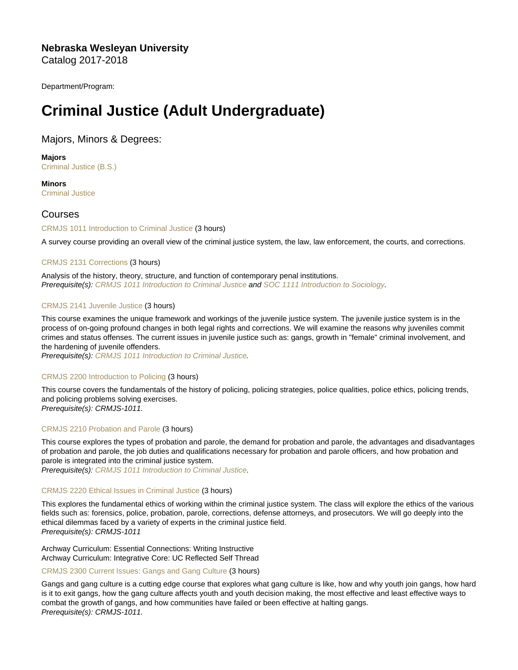Nebraska Wesleyan University Catalog 2017-2018

Department/Program:

# Criminal Justice (Adult Undergraduate)

# Majors, Minors & Degrees:

Majors [Criminal Justice \(B.S.\)](https://catalog.nebrwesleyan.edu/cc/2017-2018/mmd/320591)

**Minors** [Criminal Justice](https://catalog.nebrwesleyan.edu/cc/2017-2018/mmd/320628)

# Courses

[CRMJS 1011 Introduction to Criminal Justice](https://catalog.nebrwesleyan.edu/node/318433) (3 hours)

A survey course providing an overall view of the criminal justice system, the law, law enforcement, the courts, and corrections.

# [CRMJS 2131 Corrections](https://catalog.nebrwesleyan.edu/node/318435) (3 hours)

Analysis of the history, theory, structure, and function of contemporary penal institutions. Prerequisite(s): [CRMJS 1011 Introduction to Criminal Justice](https://catalog.nebrwesleyan.edu/cc/2017-2018/course/318433) and [SOC 1111 Introduction to Sociology.](https://catalog.nebrwesleyan.edu/cc/2017-2018/course/318523)

# [CRMJS 2141 Juvenile Justice](https://catalog.nebrwesleyan.edu/node/318436) (3 hours)

This course examines the unique framework and workings of the juvenile justice system. The juvenile justice system is in the process of on-going profound changes in both legal rights and corrections. We will examine the reasons why juveniles commit crimes and status offenses. The current issues in juvenile justice such as: gangs, growth in "female" criminal involvement, and the hardening of juvenile offenders.

Prerequisite(s): [CRMJS 1011 Introduction to Criminal Justice.](https://catalog.nebrwesleyan.edu/cc/2017-2018/course/318433)

# [CRMJS 2200 Introduction to Policing](https://catalog.nebrwesleyan.edu/node/319918) (3 hours)

This course covers the fundamentals of the history of policing, policing strategies, police qualities, police ethics, policing trends, and policing problems solving exercises. Prerequisite(s): CRMJS-1011.

# [CRMJS 2210 Probation and Parole](https://catalog.nebrwesleyan.edu/node/319919) (3 hours)

This course explores the types of probation and parole, the demand for probation and parole, the advantages and disadvantages of probation and parole, the job duties and qualifications necessary for probation and parole officers, and how probation and parole is integrated into the criminal justice system.

Prerequisite(s): [CRMJS 1011 Introduction to Criminal Justice.](https://catalog.nebrwesleyan.edu/cc/2017-2018/course/318433)

# [CRMJS 2220 Ethical Issues in Criminal Justice](https://catalog.nebrwesleyan.edu/node/319920) (3 hours)

This explores the fundamental ethics of working within the criminal justice system. The class will explore the ethics of the various fields such as: forensics, police, probation, parole, corrections, defense attorneys, and prosecutors. We will go deeply into the ethical dilemmas faced by a variety of experts in the criminal justice field. Prerequisite(s): CRMJS-1011

Archway Curriculum: Essential Connections: Writing Instructive Archway Curriculum: Integrative Core: UC Reflected Self Thread

# [CRMJS 2300 Current Issues: Gangs and Gang Culture](https://catalog.nebrwesleyan.edu/node/319921) (3 hours)

Gangs and gang culture is a cutting edge course that explores what gang culture is like, how and why youth join gangs, how hard is it to exit gangs, how the gang culture affects youth and youth decision making, the most effective and least effective ways to combat the growth of gangs, and how communities have failed or been effective at halting gangs. Prerequisite(s): CRMJS-1011.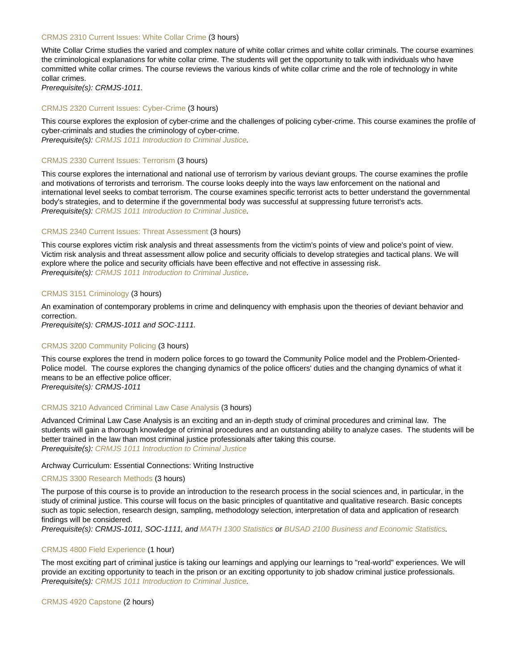## [CRMJS 2310 Current Issues: White Collar Crime](https://catalog.nebrwesleyan.edu/node/319922) (3 hours)

White Collar Crime studies the varied and complex nature of white collar crimes and white collar criminals. The course examines the criminological explanations for white collar crime. The students will get the opportunity to talk with individuals who have committed white collar crimes. The course reviews the various kinds of white collar crime and the role of technology in white collar crimes.

Prerequisite(s): CRMJS-1011.

#### [CRMJS 2320 Current Issues: Cyber-Crime](https://catalog.nebrwesleyan.edu/node/319923) (3 hours)

This course explores the explosion of cyber-crime and the challenges of policing cyber-crime. This course examines the profile of cyber-criminals and studies the criminology of cyber-crime. Prerequisite(s): [CRMJS 1011 Introduction to Criminal Justice.](https://catalog.nebrwesleyan.edu/cc/2017-2018/course/318433)

[CRMJS 2330 Current Issues: Terrorism](https://catalog.nebrwesleyan.edu/node/319924) (3 hours)

This course explores the international and national use of terrorism by various deviant groups. The course examines the profile and motivations of terrorists and terrorism. The course looks deeply into the ways law enforcement on the national and international level seeks to combat terrorism. The course examines specific terrorist acts to better understand the governmental body's strategies, and to determine if the governmental body was successful at suppressing future terrorist's acts. Prerequisite(s): [CRMJS 1011 Introduction to Criminal Justice.](https://catalog.nebrwesleyan.edu/cc/2017-2018/course/318433)

#### [CRMJS 2340 Current Issues: Threat Assessment](https://catalog.nebrwesleyan.edu/node/319925) (3 hours)

This course explores victim risk analysis and threat assessments from the victim's points of view and police's point of view. Victim risk analysis and threat assessment allow police and security officials to develop strategies and tactical plans. We will explore where the police and security officials have been effective and not effective in assessing risk. Prerequisite(s): [CRMJS 1011 Introduction to Criminal Justice.](https://catalog.nebrwesleyan.edu/cc/2017-2018/course/318433)

#### [CRMJS 3151 Criminology](https://catalog.nebrwesleyan.edu/node/318439) (3 hours)

An examination of contemporary problems in crime and delinquency with emphasis upon the theories of deviant behavior and correction.

Prerequisite(s): CRMJS-1011 and SOC-1111.

#### [CRMJS 3200 Community Policing](https://catalog.nebrwesleyan.edu/node/319926) (3 hours)

This course explores the trend in modern police forces to go toward the Community Police model and the Problem-Oriented-Police model. The course explores the changing dynamics of the police officers' duties and the changing dynamics of what it means to be an effective police officer.

Prerequisite(s): CRMJS-1011

## [CRMJS 3210 Advanced Criminal Law Case Analysis](https://catalog.nebrwesleyan.edu/node/319927) (3 hours)

Advanced Criminal Law Case Analysis is an exciting and an in-depth study of criminal procedures and criminal law. The students will gain a thorough knowledge of criminal procedures and an outstanding ability to analyze cases. The students will be better trained in the law than most criminal justice professionals after taking this course. Prerequisite(s): [CRMJS 1011 Introduction to Criminal Justice](https://catalog.nebrwesleyan.edu/cc/2017-2018/course/318433)

#### Archway Curriculum: Essential Connections: Writing Instructive

#### [CRMJS 3300 Research Methods](https://catalog.nebrwesleyan.edu/node/319909) (3 hours)

The purpose of this course is to provide an introduction to the research process in the social sciences and, in particular, in the study of criminal justice. This course will focus on the basic principles of quantitative and qualitative research. Basic concepts such as topic selection, research design, sampling, methodology selection, interpretation of data and application of research findings will be considered.

Prerequisite(s): CRMJS-1011, SOC-1111, and [MATH 1300 Statistics](https://catalog.nebrwesleyan.edu/cc/2021-2022/course/359781) or [BUSAD 2100 Business and Economic Statistics.](https://catalog.nebrwesleyan.edu/cc/2021-2022/course/359620)

# [CRMJS 4800 Field Experience](https://catalog.nebrwesleyan.edu/node/319982) (1 hour)

The most exciting part of criminal justice is taking our learnings and applying our learnings to "real-world" experiences. We will provide an exciting opportunity to teach in the prison or an exciting opportunity to job shadow criminal justice professionals. Prerequisite(s): [CRMJS 1011 Introduction to Criminal Justice.](https://catalog.nebrwesleyan.edu/cc/2017-2018/course/318433)

[CRMJS 4920 Capstone](https://catalog.nebrwesleyan.edu/node/319929) (2 hours)